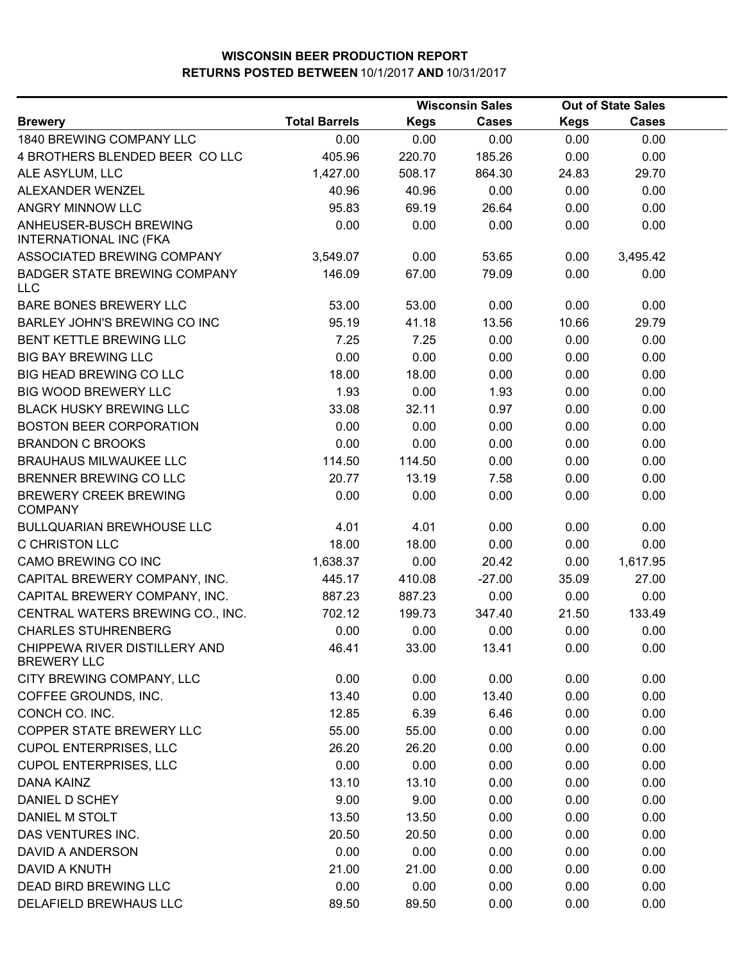|                                                         |                      |             | <b>Wisconsin Sales</b> |             | <b>Out of State Sales</b> |  |
|---------------------------------------------------------|----------------------|-------------|------------------------|-------------|---------------------------|--|
| <b>Brewery</b>                                          | <b>Total Barrels</b> | <b>Kegs</b> | <b>Cases</b>           | <b>Kegs</b> | <b>Cases</b>              |  |
| 1840 BREWING COMPANY LLC                                | 0.00                 | 0.00        | 0.00                   | 0.00        | 0.00                      |  |
| 4 BROTHERS BLENDED BEER COLLC                           | 405.96               | 220.70      | 185.26                 | 0.00        | 0.00                      |  |
| ALE ASYLUM, LLC                                         | 1,427.00             | 508.17      | 864.30                 | 24.83       | 29.70                     |  |
| ALEXANDER WENZEL                                        | 40.96                | 40.96       | 0.00                   | 0.00        | 0.00                      |  |
| ANGRY MINNOW LLC                                        | 95.83                | 69.19       | 26.64                  | 0.00        | 0.00                      |  |
| ANHEUSER-BUSCH BREWING<br><b>INTERNATIONAL INC (FKA</b> | 0.00                 | 0.00        | 0.00                   | 0.00        | 0.00                      |  |
| ASSOCIATED BREWING COMPANY                              | 3,549.07             | 0.00        | 53.65                  | 0.00        | 3,495.42                  |  |
| <b>BADGER STATE BREWING COMPANY</b><br>LLC              | 146.09               | 67.00       | 79.09                  | 0.00        | 0.00                      |  |
| BARE BONES BREWERY LLC                                  | 53.00                | 53.00       | 0.00                   | 0.00        | 0.00                      |  |
| BARLEY JOHN'S BREWING CO INC                            | 95.19                | 41.18       | 13.56                  | 10.66       | 29.79                     |  |
| <b>BENT KETTLE BREWING LLC</b>                          | 7.25                 | 7.25        | 0.00                   | 0.00        | 0.00                      |  |
| <b>BIG BAY BREWING LLC</b>                              | 0.00                 | 0.00        | 0.00                   | 0.00        | 0.00                      |  |
| BIG HEAD BREWING CO LLC                                 | 18.00                | 18.00       | 0.00                   | 0.00        | 0.00                      |  |
| <b>BIG WOOD BREWERY LLC</b>                             | 1.93                 | 0.00        | 1.93                   | 0.00        | 0.00                      |  |
| <b>BLACK HUSKY BREWING LLC</b>                          | 33.08                | 32.11       | 0.97                   | 0.00        | 0.00                      |  |
| <b>BOSTON BEER CORPORATION</b>                          | 0.00                 | 0.00        | 0.00                   | 0.00        | 0.00                      |  |
| <b>BRANDON C BROOKS</b>                                 | 0.00                 | 0.00        | 0.00                   | 0.00        | 0.00                      |  |
| <b>BRAUHAUS MILWAUKEE LLC</b>                           | 114.50               | 114.50      | 0.00                   | 0.00        | 0.00                      |  |
| BRENNER BREWING CO LLC                                  | 20.77                | 13.19       | 7.58                   | 0.00        | 0.00                      |  |
| <b>BREWERY CREEK BREWING</b><br><b>COMPANY</b>          | 0.00                 | 0.00        | 0.00                   | 0.00        | 0.00                      |  |
| <b>BULLQUARIAN BREWHOUSE LLC</b>                        | 4.01                 | 4.01        | 0.00                   | 0.00        | 0.00                      |  |
| <b>C CHRISTON LLC</b>                                   | 18.00                | 18.00       | 0.00                   | 0.00        | 0.00                      |  |
| CAMO BREWING CO INC                                     | 1,638.37             | 0.00        | 20.42                  | 0.00        | 1,617.95                  |  |
| CAPITAL BREWERY COMPANY, INC.                           | 445.17               | 410.08      | $-27.00$               | 35.09       | 27.00                     |  |
| CAPITAL BREWERY COMPANY, INC.                           | 887.23               | 887.23      | 0.00                   | 0.00        | 0.00                      |  |
| CENTRAL WATERS BREWING CO., INC.                        | 702.12               | 199.73      | 347.40                 | 21.50       | 133.49                    |  |
| <b>CHARLES STUHRENBERG</b>                              | 0.00                 | 0.00        | 0.00                   | 0.00        | 0.00                      |  |
| CHIPPEWA RIVER DISTILLERY AND<br><b>BREWERY LLC</b>     | 46.41                | 33.00       | 13.41                  | 0.00        | 0.00                      |  |
| CITY BREWING COMPANY, LLC                               | 0.00                 | 0.00        | 0.00                   | 0.00        | 0.00                      |  |
| COFFEE GROUNDS, INC.                                    | 13.40                | 0.00        | 13.40                  | 0.00        | 0.00                      |  |
| CONCH CO. INC.                                          | 12.85                | 6.39        | 6.46                   | 0.00        | 0.00                      |  |
| COPPER STATE BREWERY LLC                                | 55.00                | 55.00       | 0.00                   | 0.00        | 0.00                      |  |
| <b>CUPOL ENTERPRISES, LLC</b>                           | 26.20                | 26.20       | 0.00                   | 0.00        | 0.00                      |  |
| <b>CUPOL ENTERPRISES, LLC</b>                           | 0.00                 | 0.00        | 0.00                   | 0.00        | 0.00                      |  |
| <b>DANA KAINZ</b>                                       | 13.10                | 13.10       | 0.00                   | 0.00        | 0.00                      |  |
| DANIEL D SCHEY                                          | 9.00                 | 9.00        | 0.00                   | 0.00        | 0.00                      |  |
| DANIEL M STOLT                                          | 13.50                | 13.50       | 0.00                   | 0.00        | 0.00                      |  |
| DAS VENTURES INC.                                       | 20.50                | 20.50       | 0.00                   | 0.00        | 0.00                      |  |
| DAVID A ANDERSON                                        | 0.00                 | 0.00        | 0.00                   | 0.00        | 0.00                      |  |
| DAVID A KNUTH                                           | 21.00                | 21.00       | 0.00                   | 0.00        | 0.00                      |  |
| DEAD BIRD BREWING LLC                                   | 0.00                 | 0.00        | 0.00                   | 0.00        | 0.00                      |  |
| DELAFIELD BREWHAUS LLC                                  | 89.50                | 89.50       | 0.00                   | 0.00        | 0.00                      |  |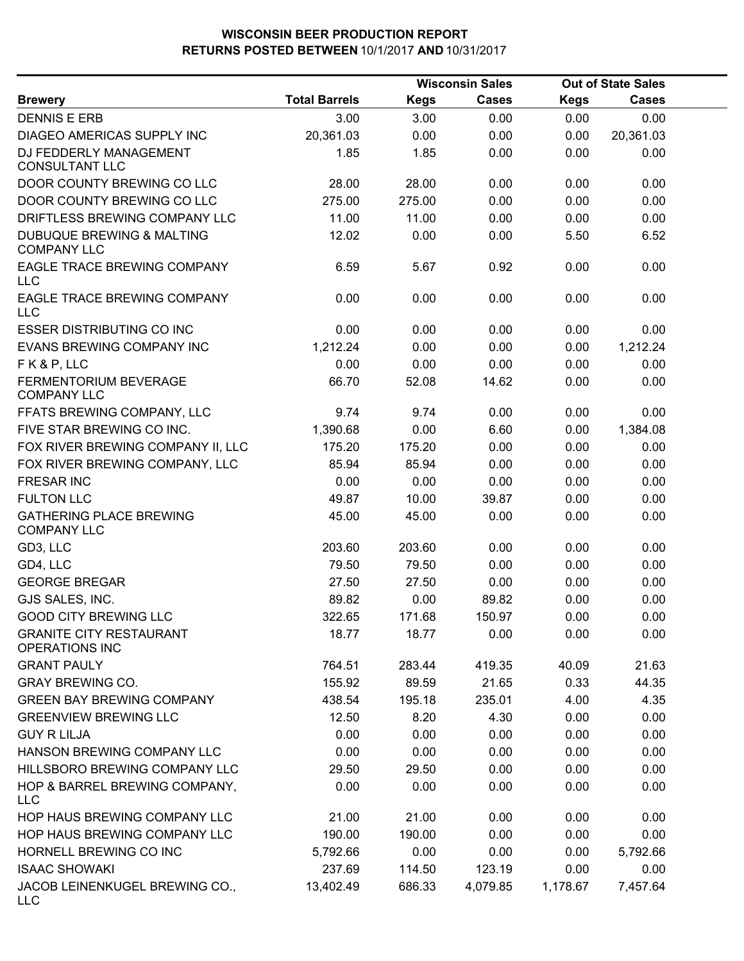|                                                      |                      | <b>Wisconsin Sales</b> |              | <b>Out of State Sales</b> |              |  |
|------------------------------------------------------|----------------------|------------------------|--------------|---------------------------|--------------|--|
| <b>Brewery</b>                                       | <b>Total Barrels</b> | <b>Kegs</b>            | <b>Cases</b> | <b>Kegs</b>               | <b>Cases</b> |  |
| <b>DENNIS E ERB</b>                                  | 3.00                 | 3.00                   | 0.00         | 0.00                      | 0.00         |  |
| DIAGEO AMERICAS SUPPLY INC                           | 20,361.03            | 0.00                   | 0.00         | 0.00                      | 20,361.03    |  |
| DJ FEDDERLY MANAGEMENT<br><b>CONSULTANT LLC</b>      | 1.85                 | 1.85                   | 0.00         | 0.00                      | 0.00         |  |
| DOOR COUNTY BREWING CO LLC                           | 28.00                | 28.00                  | 0.00         | 0.00                      | 0.00         |  |
| DOOR COUNTY BREWING CO LLC                           | 275.00               | 275.00                 | 0.00         | 0.00                      | 0.00         |  |
| DRIFTLESS BREWING COMPANY LLC                        | 11.00                | 11.00                  | 0.00         | 0.00                      | 0.00         |  |
| DUBUQUE BREWING & MALTING<br><b>COMPANY LLC</b>      | 12.02                | 0.00                   | 0.00         | 5.50                      | 6.52         |  |
| EAGLE TRACE BREWING COMPANY<br><b>LLC</b>            | 6.59                 | 5.67                   | 0.92         | 0.00                      | 0.00         |  |
| EAGLE TRACE BREWING COMPANY<br><b>LLC</b>            | 0.00                 | 0.00                   | 0.00         | 0.00                      | 0.00         |  |
| <b>ESSER DISTRIBUTING CO INC</b>                     | 0.00                 | 0.00                   | 0.00         | 0.00                      | 0.00         |  |
| <b>EVANS BREWING COMPANY INC</b>                     | 1,212.24             | 0.00                   | 0.00         | 0.00                      | 1,212.24     |  |
| FK&P, LLC                                            | 0.00                 | 0.00                   | 0.00         | 0.00                      | 0.00         |  |
| FERMENTORIUM BEVERAGE<br><b>COMPANY LLC</b>          | 66.70                | 52.08                  | 14.62        | 0.00                      | 0.00         |  |
| FFATS BREWING COMPANY, LLC                           | 9.74                 | 9.74                   | 0.00         | 0.00                      | 0.00         |  |
| FIVE STAR BREWING CO INC.                            | 1,390.68             | 0.00                   | 6.60         | 0.00                      | 1,384.08     |  |
| FOX RIVER BREWING COMPANY II, LLC                    | 175.20               | 175.20                 | 0.00         | 0.00                      | 0.00         |  |
| FOX RIVER BREWING COMPANY, LLC                       | 85.94                | 85.94                  | 0.00         | 0.00                      | 0.00         |  |
| <b>FRESAR INC</b>                                    | 0.00                 | 0.00                   | 0.00         | 0.00                      | 0.00         |  |
| <b>FULTON LLC</b>                                    | 49.87                | 10.00                  | 39.87        | 0.00                      | 0.00         |  |
| <b>GATHERING PLACE BREWING</b><br><b>COMPANY LLC</b> | 45.00                | 45.00                  | 0.00         | 0.00                      | 0.00         |  |
| GD3, LLC                                             | 203.60               | 203.60                 | 0.00         | 0.00                      | 0.00         |  |
| GD4, LLC                                             | 79.50                | 79.50                  | 0.00         | 0.00                      | 0.00         |  |
| <b>GEORGE BREGAR</b>                                 | 27.50                | 27.50                  | 0.00         | 0.00                      | 0.00         |  |
| GJS SALES, INC.                                      | 89.82                | 0.00                   | 89.82        | 0.00                      | 0.00         |  |
| <b>GOOD CITY BREWING LLC</b>                         | 322.65               | 171.68                 | 150.97       | 0.00                      | 0.00         |  |
| <b>GRANITE CITY RESTAURANT</b><br>OPERATIONS INC     | 18.77                | 18.77                  | 0.00         | 0.00                      | 0.00         |  |
| <b>GRANT PAULY</b>                                   | 764.51               | 283.44                 | 419.35       | 40.09                     | 21.63        |  |
| <b>GRAY BREWING CO.</b>                              | 155.92               | 89.59                  | 21.65        | 0.33                      | 44.35        |  |
| <b>GREEN BAY BREWING COMPANY</b>                     | 438.54               | 195.18                 | 235.01       | 4.00                      | 4.35         |  |
| <b>GREENVIEW BREWING LLC</b>                         | 12.50                | 8.20                   | 4.30         | 0.00                      | 0.00         |  |
| <b>GUY R LILJA</b>                                   | 0.00                 | 0.00                   | 0.00         | 0.00                      | 0.00         |  |
| HANSON BREWING COMPANY LLC                           | 0.00                 | 0.00                   | 0.00         | 0.00                      | 0.00         |  |
| HILLSBORO BREWING COMPANY LLC                        | 29.50                | 29.50                  | 0.00         | 0.00                      | 0.00         |  |
| HOP & BARREL BREWING COMPANY,<br><b>LLC</b>          | 0.00                 | 0.00                   | 0.00         | 0.00                      | 0.00         |  |
| HOP HAUS BREWING COMPANY LLC                         | 21.00                | 21.00                  | 0.00         | 0.00                      | 0.00         |  |
| HOP HAUS BREWING COMPANY LLC                         | 190.00               | 190.00                 | 0.00         | 0.00                      | 0.00         |  |
| HORNELL BREWING CO INC                               | 5,792.66             | 0.00                   | 0.00         | 0.00                      | 5,792.66     |  |
| <b>ISAAC SHOWAKI</b>                                 | 237.69               | 114.50                 | 123.19       | 0.00                      | 0.00         |  |
| JACOB LEINENKUGEL BREWING CO.,<br><b>LLC</b>         | 13,402.49            | 686.33                 | 4,079.85     | 1,178.67                  | 7,457.64     |  |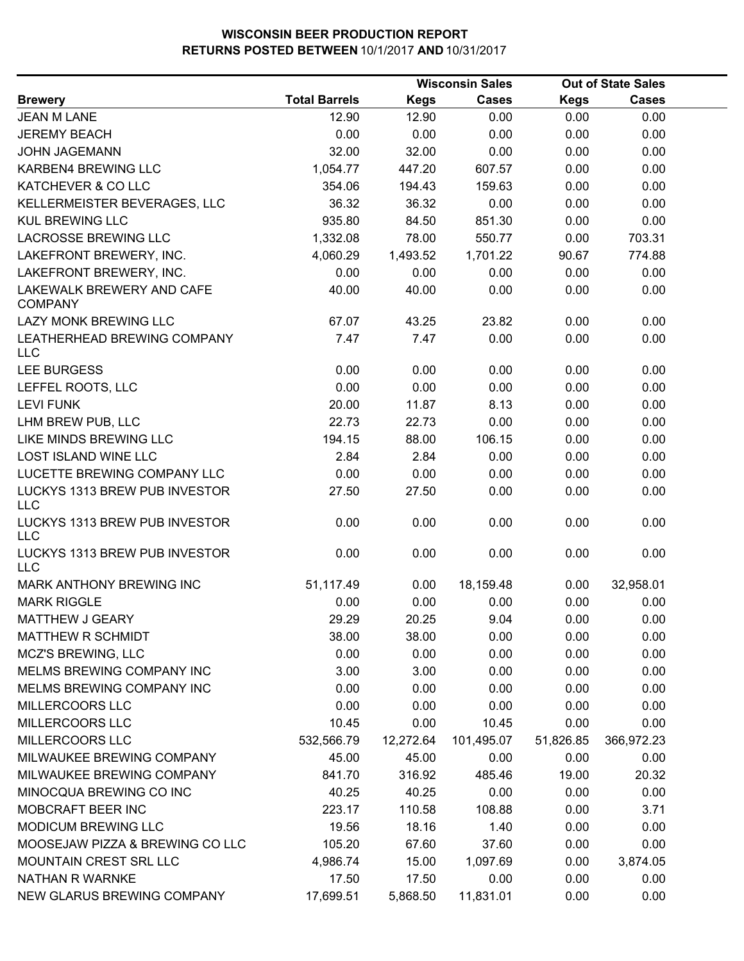|                                             |                      | <b>Wisconsin Sales</b> |              |             | <b>Out of State Sales</b> |  |
|---------------------------------------------|----------------------|------------------------|--------------|-------------|---------------------------|--|
| <b>Brewery</b>                              | <b>Total Barrels</b> | <b>Kegs</b>            | <b>Cases</b> | <b>Kegs</b> | <b>Cases</b>              |  |
| <b>JEAN M LANE</b>                          | 12.90                | 12.90                  | 0.00         | 0.00        | 0.00                      |  |
| <b>JEREMY BEACH</b>                         | 0.00                 | 0.00                   | 0.00         | 0.00        | 0.00                      |  |
| <b>JOHN JAGEMANN</b>                        | 32.00                | 32.00                  | 0.00         | 0.00        | 0.00                      |  |
| KARBEN4 BREWING LLC                         | 1,054.77             | 447.20                 | 607.57       | 0.00        | 0.00                      |  |
| KATCHEVER & CO LLC                          | 354.06               | 194.43                 | 159.63       | 0.00        | 0.00                      |  |
| KELLERMEISTER BEVERAGES, LLC                | 36.32                | 36.32                  | 0.00         | 0.00        | 0.00                      |  |
| <b>KUL BREWING LLC</b>                      | 935.80               | 84.50                  | 851.30       | 0.00        | 0.00                      |  |
| <b>LACROSSE BREWING LLC</b>                 | 1,332.08             | 78.00                  | 550.77       | 0.00        | 703.31                    |  |
| LAKEFRONT BREWERY, INC.                     | 4,060.29             | 1,493.52               | 1,701.22     | 90.67       | 774.88                    |  |
| LAKEFRONT BREWERY, INC.                     | 0.00                 | 0.00                   | 0.00         | 0.00        | 0.00                      |  |
| LAKEWALK BREWERY AND CAFE<br><b>COMPANY</b> | 40.00                | 40.00                  | 0.00         | 0.00        | 0.00                      |  |
| LAZY MONK BREWING LLC                       | 67.07                | 43.25                  | 23.82        | 0.00        | 0.00                      |  |
| LEATHERHEAD BREWING COMPANY<br>LLC          | 7.47                 | 7.47                   | 0.00         | 0.00        | 0.00                      |  |
| <b>LEE BURGESS</b>                          | 0.00                 | 0.00                   | 0.00         | 0.00        | 0.00                      |  |
| LEFFEL ROOTS, LLC                           | 0.00                 | 0.00                   | 0.00         | 0.00        | 0.00                      |  |
| <b>LEVI FUNK</b>                            | 20.00                | 11.87                  | 8.13         | 0.00        | 0.00                      |  |
| LHM BREW PUB, LLC                           | 22.73                | 22.73                  | 0.00         | 0.00        | 0.00                      |  |
| LIKE MINDS BREWING LLC                      | 194.15               | 88.00                  | 106.15       | 0.00        | 0.00                      |  |
| <b>LOST ISLAND WINE LLC</b>                 | 2.84                 | 2.84                   | 0.00         | 0.00        | 0.00                      |  |
| LUCETTE BREWING COMPANY LLC                 | 0.00                 | 0.00                   | 0.00         | 0.00        | 0.00                      |  |
| LUCKYS 1313 BREW PUB INVESTOR<br><b>LLC</b> | 27.50                | 27.50                  | 0.00         | 0.00        | 0.00                      |  |
| LUCKYS 1313 BREW PUB INVESTOR<br><b>LLC</b> | 0.00                 | 0.00                   | 0.00         | 0.00        | 0.00                      |  |
| LUCKYS 1313 BREW PUB INVESTOR<br><b>LLC</b> | 0.00                 | 0.00                   | 0.00         | 0.00        | 0.00                      |  |
| MARK ANTHONY BREWING INC                    | 51,117.49            | 0.00                   | 18,159.48    | 0.00        | 32,958.01                 |  |
| <b>MARK RIGGLE</b>                          | 0.00                 | 0.00                   | 0.00         | 0.00        | 0.00                      |  |
| MATTHEW J GEARY                             | 29.29                | 20.25                  | 9.04         | 0.00        | 0.00                      |  |
| <b>MATTHEW R SCHMIDT</b>                    | 38.00                | 38.00                  | 0.00         | 0.00        | 0.00                      |  |
| MCZ'S BREWING, LLC                          | 0.00                 | 0.00                   | 0.00         | 0.00        | 0.00                      |  |
| MELMS BREWING COMPANY INC                   | 3.00                 | 3.00                   | 0.00         | 0.00        | 0.00                      |  |
| MELMS BREWING COMPANY INC                   | 0.00                 | 0.00                   | 0.00         | 0.00        | 0.00                      |  |
| MILLERCOORS LLC                             | 0.00                 | 0.00                   | 0.00         | 0.00        | 0.00                      |  |
| MILLERCOORS LLC                             | 10.45                | 0.00                   | 10.45        | 0.00        | 0.00                      |  |
| MILLERCOORS LLC                             | 532,566.79           | 12,272.64              | 101,495.07   | 51,826.85   | 366,972.23                |  |
| MILWAUKEE BREWING COMPANY                   | 45.00                | 45.00                  | 0.00         | 0.00        | 0.00                      |  |
| MILWAUKEE BREWING COMPANY                   | 841.70               | 316.92                 | 485.46       | 19.00       | 20.32                     |  |
| MINOCQUA BREWING CO INC                     | 40.25                | 40.25                  | 0.00         | 0.00        | 0.00                      |  |
| MOBCRAFT BEER INC                           | 223.17               | 110.58                 | 108.88       | 0.00        | 3.71                      |  |
| MODICUM BREWING LLC                         | 19.56                | 18.16                  | 1.40         | 0.00        | 0.00                      |  |
| MOOSEJAW PIZZA & BREWING CO LLC             | 105.20               | 67.60                  | 37.60        | 0.00        | 0.00                      |  |
| MOUNTAIN CREST SRL LLC                      | 4,986.74             | 15.00                  | 1,097.69     | 0.00        | 3,874.05                  |  |
| <b>NATHAN R WARNKE</b>                      | 17.50                | 17.50                  | 0.00         | 0.00        | 0.00                      |  |
| NEW GLARUS BREWING COMPANY                  | 17,699.51            | 5,868.50               | 11,831.01    | 0.00        | 0.00                      |  |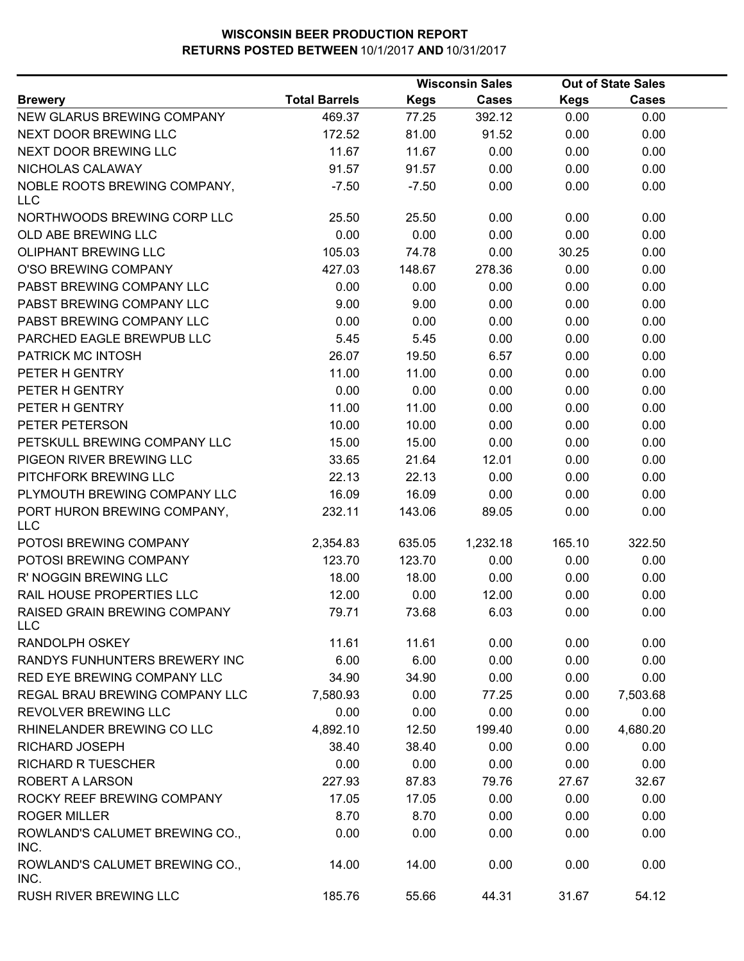|                                            |                      |             | <b>Wisconsin Sales</b> | <b>Out of State Sales</b> |              |  |
|--------------------------------------------|----------------------|-------------|------------------------|---------------------------|--------------|--|
| <b>Brewery</b>                             | <b>Total Barrels</b> | <b>Kegs</b> | <b>Cases</b>           | <b>Kegs</b>               | <b>Cases</b> |  |
| NEW GLARUS BREWING COMPANY                 | 469.37               | 77.25       | 392.12                 | 0.00                      | 0.00         |  |
| NEXT DOOR BREWING LLC                      | 172.52               | 81.00       | 91.52                  | 0.00                      | 0.00         |  |
| NEXT DOOR BREWING LLC                      | 11.67                | 11.67       | 0.00                   | 0.00                      | 0.00         |  |
| NICHOLAS CALAWAY                           | 91.57                | 91.57       | 0.00                   | 0.00                      | 0.00         |  |
| NOBLE ROOTS BREWING COMPANY,<br><b>LLC</b> | $-7.50$              | $-7.50$     | 0.00                   | 0.00                      | 0.00         |  |
| NORTHWOODS BREWING CORP LLC                | 25.50                | 25.50       | 0.00                   | 0.00                      | 0.00         |  |
| OLD ABE BREWING LLC                        | 0.00                 | 0.00        | 0.00                   | 0.00                      | 0.00         |  |
| OLIPHANT BREWING LLC                       | 105.03               | 74.78       | 0.00                   | 30.25                     | 0.00         |  |
| O'SO BREWING COMPANY                       | 427.03               | 148.67      | 278.36                 | 0.00                      | 0.00         |  |
| PABST BREWING COMPANY LLC                  | 0.00                 | 0.00        | 0.00                   | 0.00                      | 0.00         |  |
| PABST BREWING COMPANY LLC                  | 9.00                 | 9.00        | 0.00                   | 0.00                      | 0.00         |  |
| PABST BREWING COMPANY LLC                  | 0.00                 | 0.00        | 0.00                   | 0.00                      | 0.00         |  |
| PARCHED EAGLE BREWPUB LLC                  | 5.45                 | 5.45        | 0.00                   | 0.00                      | 0.00         |  |
| PATRICK MC INTOSH                          | 26.07                | 19.50       | 6.57                   | 0.00                      | 0.00         |  |
| PETER H GENTRY                             | 11.00                | 11.00       | 0.00                   | 0.00                      | 0.00         |  |
| PETER H GENTRY                             | 0.00                 | 0.00        | 0.00                   | 0.00                      | 0.00         |  |
| PETER H GENTRY                             | 11.00                | 11.00       | 0.00                   | 0.00                      | 0.00         |  |
| PETER PETERSON                             | 10.00                | 10.00       | 0.00                   | 0.00                      | 0.00         |  |
| PETSKULL BREWING COMPANY LLC               | 15.00                | 15.00       | 0.00                   | 0.00                      | 0.00         |  |
| PIGEON RIVER BREWING LLC                   | 33.65                | 21.64       | 12.01                  | 0.00                      | 0.00         |  |
| PITCHFORK BREWING LLC                      | 22.13                | 22.13       | 0.00                   | 0.00                      | 0.00         |  |
| PLYMOUTH BREWING COMPANY LLC               | 16.09                | 16.09       | 0.00                   | 0.00                      | 0.00         |  |
| PORT HURON BREWING COMPANY,<br><b>LLC</b>  | 232.11               | 143.06      | 89.05                  | 0.00                      | 0.00         |  |
| POTOSI BREWING COMPANY                     | 2,354.83             | 635.05      | 1,232.18               | 165.10                    | 322.50       |  |
| POTOSI BREWING COMPANY                     | 123.70               | 123.70      | 0.00                   | 0.00                      | 0.00         |  |
| R' NOGGIN BREWING LLC                      | 18.00                | 18.00       | 0.00                   | 0.00                      | 0.00         |  |
| RAIL HOUSE PROPERTIES LLC                  | 12.00                | 0.00        | 12.00                  | 0.00                      | 0.00         |  |
| RAISED GRAIN BREWING COMPANY<br>LLC        | 79.71                | 73.68       | 6.03                   | 0.00                      | 0.00         |  |
| <b>RANDOLPH OSKEY</b>                      | 11.61                | 11.61       | 0.00                   | 0.00                      | 0.00         |  |
| RANDYS FUNHUNTERS BREWERY INC              | 6.00                 | 6.00        | 0.00                   | 0.00                      | 0.00         |  |
| RED EYE BREWING COMPANY LLC                | 34.90                | 34.90       | 0.00                   | 0.00                      | 0.00         |  |
| REGAL BRAU BREWING COMPANY LLC             | 7,580.93             | 0.00        | 77.25                  | 0.00                      | 7,503.68     |  |
| REVOLVER BREWING LLC                       | 0.00                 | 0.00        | 0.00                   | 0.00                      | 0.00         |  |
| RHINELANDER BREWING CO LLC                 | 4,892.10             | 12.50       | 199.40                 | 0.00                      | 4,680.20     |  |
| <b>RICHARD JOSEPH</b>                      | 38.40                | 38.40       | 0.00                   | 0.00                      | 0.00         |  |
| <b>RICHARD R TUESCHER</b>                  | 0.00                 | 0.00        | 0.00                   | 0.00                      | 0.00         |  |
| <b>ROBERT A LARSON</b>                     | 227.93               | 87.83       | 79.76                  | 27.67                     | 32.67        |  |
| ROCKY REEF BREWING COMPANY                 | 17.05                | 17.05       | 0.00                   | 0.00                      | 0.00         |  |
| <b>ROGER MILLER</b>                        | 8.70                 | 8.70        | 0.00                   | 0.00                      | 0.00         |  |
| ROWLAND'S CALUMET BREWING CO.,<br>INC.     | 0.00                 | 0.00        | 0.00                   | 0.00                      | 0.00         |  |
| ROWLAND'S CALUMET BREWING CO.,<br>INC.     | 14.00                | 14.00       | 0.00                   | 0.00                      | 0.00         |  |
| RUSH RIVER BREWING LLC                     | 185.76               | 55.66       | 44.31                  | 31.67                     | 54.12        |  |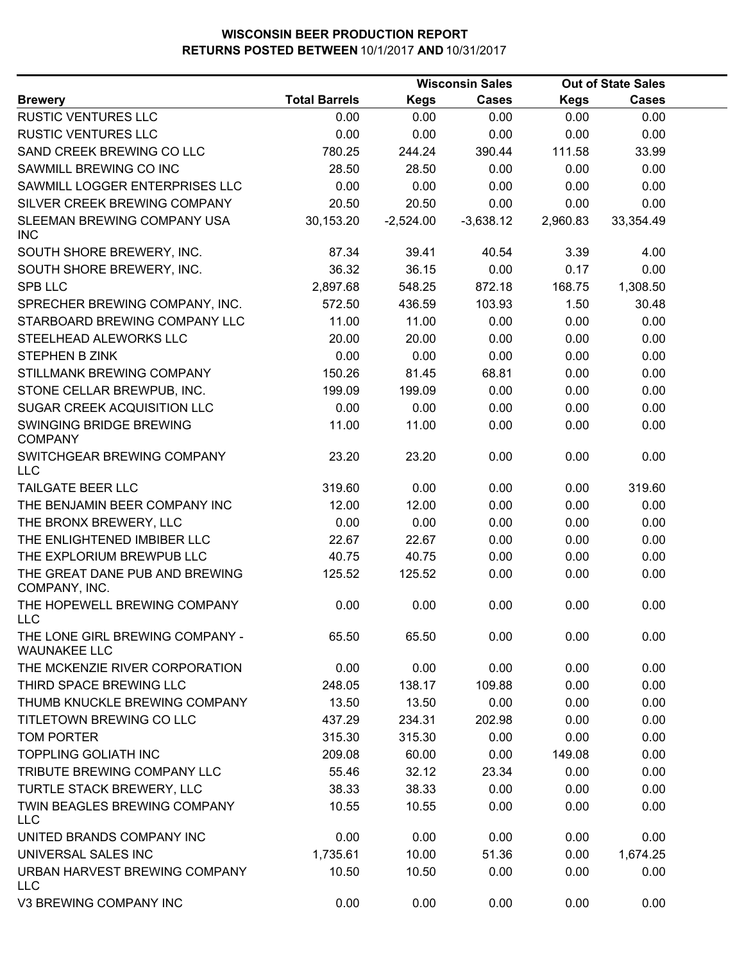|                                                        |                      |             | <b>Wisconsin Sales</b> |             | <b>Out of State Sales</b> |  |
|--------------------------------------------------------|----------------------|-------------|------------------------|-------------|---------------------------|--|
| <b>Brewery</b>                                         | <b>Total Barrels</b> | <b>Kegs</b> | <b>Cases</b>           | <b>Kegs</b> | <b>Cases</b>              |  |
| RUSTIC VENTURES LLC                                    | 0.00                 | 0.00        | 0.00                   | 0.00        | 0.00                      |  |
| <b>RUSTIC VENTURES LLC</b>                             | 0.00                 | 0.00        | 0.00                   | 0.00        | 0.00                      |  |
| SAND CREEK BREWING CO LLC                              | 780.25               | 244.24      | 390.44                 | 111.58      | 33.99                     |  |
| SAWMILL BREWING CO INC                                 | 28.50                | 28.50       | 0.00                   | 0.00        | 0.00                      |  |
| SAWMILL LOGGER ENTERPRISES LLC                         | 0.00                 | 0.00        | 0.00                   | 0.00        | 0.00                      |  |
| SILVER CREEK BREWING COMPANY                           | 20.50                | 20.50       | 0.00                   | 0.00        | 0.00                      |  |
| SLEEMAN BREWING COMPANY USA<br><b>INC</b>              | 30,153.20            | $-2,524.00$ | $-3,638.12$            | 2,960.83    | 33,354.49                 |  |
| SOUTH SHORE BREWERY, INC.                              | 87.34                | 39.41       | 40.54                  | 3.39        | 4.00                      |  |
| SOUTH SHORE BREWERY, INC.                              | 36.32                | 36.15       | 0.00                   | 0.17        | 0.00                      |  |
| <b>SPB LLC</b>                                         | 2,897.68             | 548.25      | 872.18                 | 168.75      | 1,308.50                  |  |
| SPRECHER BREWING COMPANY, INC.                         | 572.50               | 436.59      | 103.93                 | 1.50        | 30.48                     |  |
| STARBOARD BREWING COMPANY LLC                          | 11.00                | 11.00       | 0.00                   | 0.00        | 0.00                      |  |
| STEELHEAD ALEWORKS LLC                                 | 20.00                | 20.00       | 0.00                   | 0.00        | 0.00                      |  |
| <b>STEPHEN B ZINK</b>                                  | 0.00                 | 0.00        | 0.00                   | 0.00        | 0.00                      |  |
| STILLMANK BREWING COMPANY                              | 150.26               | 81.45       | 68.81                  | 0.00        | 0.00                      |  |
| STONE CELLAR BREWPUB, INC.                             | 199.09               | 199.09      | 0.00                   | 0.00        | 0.00                      |  |
| SUGAR CREEK ACQUISITION LLC                            | 0.00                 | 0.00        | 0.00                   | 0.00        | 0.00                      |  |
| SWINGING BRIDGE BREWING<br><b>COMPANY</b>              | 11.00                | 11.00       | 0.00                   | 0.00        | 0.00                      |  |
| SWITCHGEAR BREWING COMPANY<br><b>LLC</b>               | 23.20                | 23.20       | 0.00                   | 0.00        | 0.00                      |  |
| TAILGATE BEER LLC                                      | 319.60               | 0.00        | 0.00                   | 0.00        | 319.60                    |  |
| THE BENJAMIN BEER COMPANY INC                          | 12.00                | 12.00       | 0.00                   | 0.00        | 0.00                      |  |
| THE BRONX BREWERY, LLC                                 | 0.00                 | 0.00        | 0.00                   | 0.00        | 0.00                      |  |
| THE ENLIGHTENED IMBIBER LLC                            | 22.67                | 22.67       | 0.00                   | 0.00        | 0.00                      |  |
| THE EXPLORIUM BREWPUB LLC                              | 40.75                | 40.75       | 0.00                   | 0.00        | 0.00                      |  |
| THE GREAT DANE PUB AND BREWING<br>COMPANY, INC.        | 125.52               | 125.52      | 0.00                   | 0.00        | 0.00                      |  |
| THE HOPEWELL BREWING COMPANY<br><b>LLC</b>             | 0.00                 | 0.00        | 0.00                   | 0.00        | 0.00                      |  |
| THE LONE GIRL BREWING COMPANY -<br><b>WAUNAKEE LLC</b> | 65.50                | 65.50       | 0.00                   | 0.00        | 0.00                      |  |
| THE MCKENZIE RIVER CORPORATION                         | 0.00                 | 0.00        | 0.00                   | 0.00        | 0.00                      |  |
| THIRD SPACE BREWING LLC                                | 248.05               | 138.17      | 109.88                 | 0.00        | 0.00                      |  |
| THUMB KNUCKLE BREWING COMPANY                          | 13.50                | 13.50       | 0.00                   | 0.00        | 0.00                      |  |
| TITLETOWN BREWING CO LLC                               | 437.29               | 234.31      | 202.98                 | 0.00        | 0.00                      |  |
| <b>TOM PORTER</b>                                      | 315.30               | 315.30      | 0.00                   | 0.00        | 0.00                      |  |
| <b>TOPPLING GOLIATH INC</b>                            | 209.08               | 60.00       | 0.00                   | 149.08      | 0.00                      |  |
| TRIBUTE BREWING COMPANY LLC                            | 55.46                | 32.12       | 23.34                  | 0.00        | 0.00                      |  |
| TURTLE STACK BREWERY, LLC                              | 38.33                | 38.33       | 0.00                   | 0.00        | 0.00                      |  |
| TWIN BEAGLES BREWING COMPANY<br><b>LLC</b>             | 10.55                | 10.55       | 0.00                   | 0.00        | 0.00                      |  |
| UNITED BRANDS COMPANY INC                              | 0.00                 | 0.00        | 0.00                   | 0.00        | 0.00                      |  |
| UNIVERSAL SALES INC                                    | 1,735.61             | 10.00       | 51.36                  | 0.00        | 1,674.25                  |  |
| URBAN HARVEST BREWING COMPANY<br><b>LLC</b>            | 10.50                | 10.50       | 0.00                   | 0.00        | 0.00                      |  |
| V3 BREWING COMPANY INC                                 | 0.00                 | 0.00        | 0.00                   | 0.00        | 0.00                      |  |